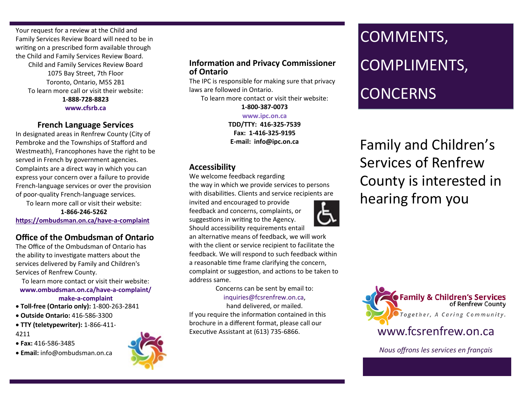Your request for a review at the Child and Family Services Review Board will need to be in writing on a prescribed form available through the Child and Family Services Review Board. Child and Family Services Review Board 1075 Bay Street, 7th Floor Toronto, Ontario, M5S 2B1 To learn more call or visit their website: **1-888-728-8823 www.cfsrb.ca**

#### **French Language Services**

In designated areas in Renfrew County (City of Pembroke and the Townships of Stafford and Westmeath), Francophones have the right to be served in French by government agencies. Complaints are a direct way in which you can express your concern over a failure to provide French-language services or over the provision of poor-quality French-language services.

To learn more call or visit their website: **1-866-246-5262** 

**[https://ombudsman.on.ca/have](https://ombudsman.on.ca/have-a-complaint)-a-complaint** 

# **Office of the Ombudsman of Ontario**

The Office of the Ombudsman of Ontario has the ability to investigate matters about the services delivered by Family and Children's Services of Renfrew County.

To learn more contact or visit their website: **[www.ombudsman.on.ca/have](https://www.ombudsman.on.ca/have-a-complaint/make-a-complaint)-a-complaint/ make-a-[complaint](https://www.ombudsman.on.ca/have-a-complaint/make-a-complaint)**

- **Toll-free (Ontario only):** 1-800-263-2841
- **Outside Ontario:** 416-586-3300
- **TTY (teletypewriter):** 1-866-411- 4211
- **Fax:** 416-586-3485
- **Email:** [info@ombudsman.on.ca](mailto:info@ombudsman.on.ca)



#### **Information and Privacy Commissioner of Ontario**

The IPC is responsible for making sure that privacy laws are followed in Ontario.

To learn more contact or visit their website:

**1-800-387-0073 www.ipc.on.ca TDD/TTY: 416-325-7539 Fax: 1-416-325-9195 E-mail: info@ipc.on.ca**

## **Accessibility**

We welcome feedback regarding

the way in which we provide services to persons with disabilities. Clients and service recipients are

invited and encouraged to provide feedback and concerns, complaints, or suggestions in writing to the Agency. Should accessibility requirements entail

an alternative means of feedback, we will work with the client or service recipient to facilitate the feedback. We will respond to such feedback within a reasonable time frame clarifying the concern, complaint or suggestion, and actions to be taken to address same.

> Concerns can be sent by email to: inquiries@fcsrenfrew.on.ca,

hand delivered, or mailed. If you require the information contained in this brochure in a different format, please call our Executive Assistant at (613) 735-6866.

# COMMENTS, COMPLIMENTS, **CONCERNS**

Family and Children's Services of Renfrew County is interested in hearing from you



*Nous offrons les services en français*